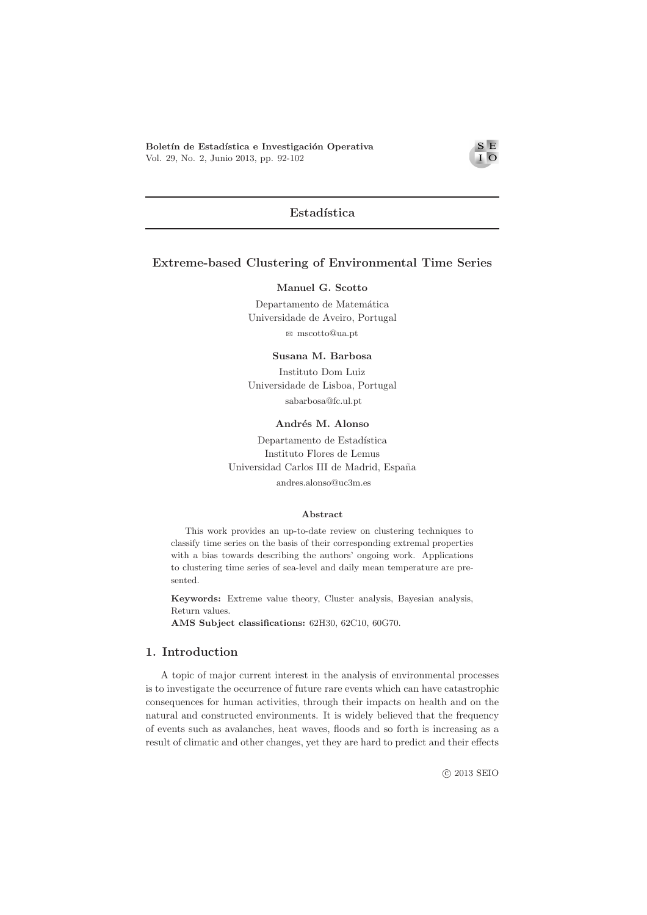Boletín de Estadística e Investigación Operativa Vol. 29, No. 2, Junio 2013, pp. 92-102

### $S E$  $\overline{I}$  O

# Estadística

# Extreme-based Clustering of Environmental Time Series

### Manuel G. Scotto

Departamento de Matemática Universidade de Aveiro, Portugal  $\boxtimes$ mscotto@ua.pt

#### Susana M. Barbosa

Instituto Dom Luiz Universidade de Lisboa, Portugal sabarbosa@fc.ul.pt

Andrés M. Alonso

Departamento de Estadística Instituto Flores de Lemus Universidad Carlos III de Madrid, España andres.alonso@uc3m.es

#### Abstract

This work provides an up-to-date review on clustering techniques to classify time series on the basis of their corresponding extremal properties with a bias towards describing the authors' ongoing work. Applications to clustering time series of sea-level and daily mean temperature are presented.

Keywords: Extreme value theory, Cluster analysis, Bayesian analysis, Return values.

AMS Subject classifications: 62H30, 62C10, 60G70.

## 1. Introduction

A topic of major current interest in the analysis of environmental processes is to investigate the occurrence of future rare events which can have catastrophic consequences for human activities, through their impacts on health and on the natural and constructed environments. It is widely believed that the frequency of events such as avalanches, heat waves, floods and so forth is increasing as a result of climatic and other changes, yet they are hard to predict and their effects

**@ 2013 SEIO**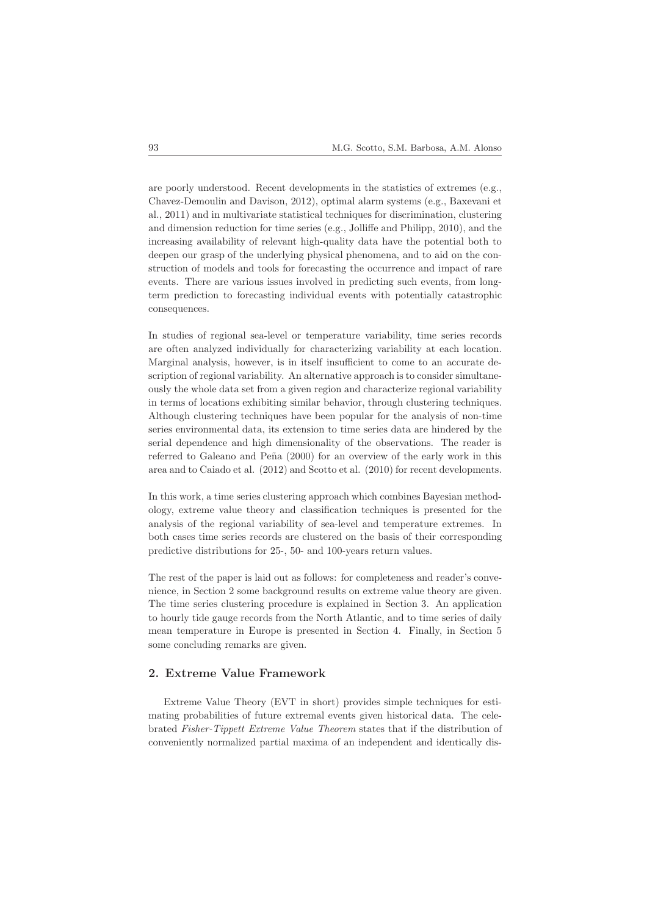are poorly understood. Recent developments in the statistics of extremes (e.g., Chavez-Demoulin and Davison, 2012), optimal alarm systems (e.g., Baxevani et al., 2011) and in multivariate statistical techniques for discrimination, clustering and dimension reduction for time series (e.g., Jolliffe and Philipp, 2010), and the increasing availability of relevant high-quality data have the potential both to deepen our grasp of the underlying physical phenomena, and to aid on the construction of models and tools for forecasting the occurrence and impact of rare events. There are various issues involved in predicting such events, from longterm prediction to forecasting individual events with potentially catastrophic consequences.

In studies of regional sea-level or temperature variability, time series records are often analyzed individually for characterizing variability at each location. Marginal analysis, however, is in itself insufficient to come to an accurate description of regional variability. An alternative approach is to consider simultaneously the whole data set from a given region and characterize regional variability in terms of locations exhibiting similar behavior, through clustering techniques. Although clustering techniques have been popular for the analysis of non-time series environmental data, its extension to time series data are hindered by the serial dependence and high dimensionality of the observations. The reader is referred to Galeano and Peña  $(2000)$  for an overview of the early work in this area and to Caiado et al. (2012) and Scotto et al. (2010) for recent developments.

In this work, a time series clustering approach which combines Bayesian methodology, extreme value theory and classification techniques is presented for the analysis of the regional variability of sea-level and temperature extremes. In both cases time series records are clustered on the basis of their corresponding predictive distributions for 25-, 50- and 100-years return values.

The rest of the paper is laid out as follows: for completeness and reader's convenience, in Section 2 some background results on extreme value theory are given. The time series clustering procedure is explained in Section 3. An application to hourly tide gauge records from the North Atlantic, and to time series of daily mean temperature in Europe is presented in Section 4. Finally, in Section 5 some concluding remarks are given.

# 2. Extreme Value Framework

Extreme Value Theory (EVT in short) provides simple techniques for estimating probabilities of future extremal events given historical data. The celebrated Fisher-Tippett Extreme Value Theorem states that if the distribution of conveniently normalized partial maxima of an independent and identically dis-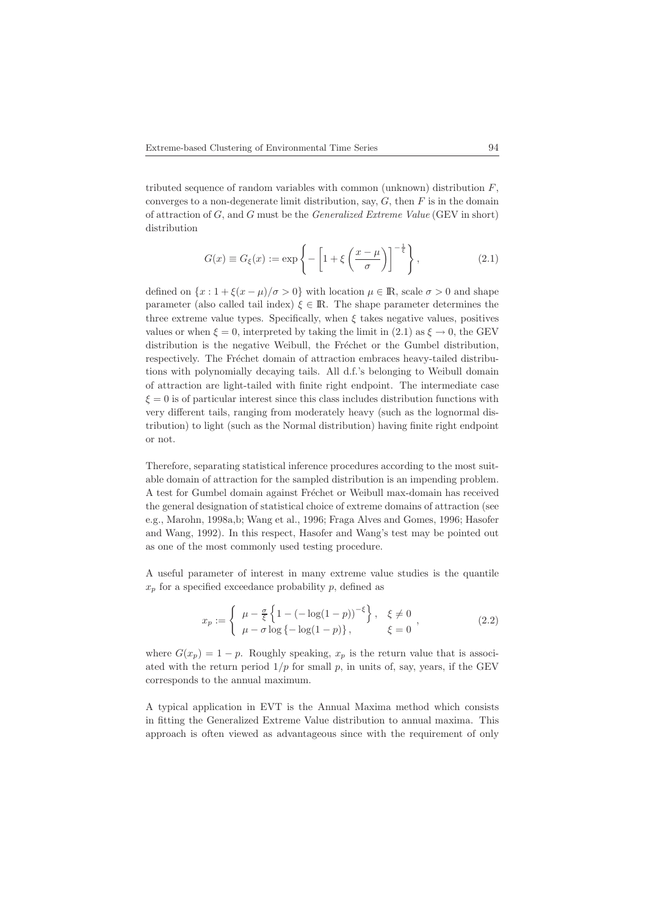tributed sequence of random variables with common (unknown) distribution  $F$ , converges to a non-degenerate limit distribution, say,  $G$ , then  $F$  is in the domain of attraction of G, and G must be the Generalized Extreme Value (GEV in short) distribution

$$
G(x) \equiv G_{\xi}(x) := \exp\left\{-\left[1 + \xi \left(\frac{x-\mu}{\sigma}\right)\right]^{-\frac{1}{\xi}}\right\},\tag{2.1}
$$

defined on  $\{x: 1 + \xi(x - \mu)/\sigma > 0\}$  with location  $\mu \in \mathbb{R}$ , scale  $\sigma > 0$  and shape parameter (also called tail index)  $\xi \in \mathbb{R}$ . The shape parameter determines the three extreme value types. Specifically, when  $\xi$  takes negative values, positives values or when  $\xi = 0$ , interpreted by taking the limit in (2.1) as  $\xi \to 0$ , the GEV distribution is the negative Weibull, the Fréchet or the Gumbel distribution, respectively. The Fréchet domain of attraction embraces heavy-tailed distributions with polynomially decaying tails. All d.f.'s belonging to Weibull domain of attraction are light-tailed with finite right endpoint. The intermediate case  $\xi = 0$  is of particular interest since this class includes distribution functions with very different tails, ranging from moderately heavy (such as the lognormal distribution) to light (such as the Normal distribution) having finite right endpoint or not.

Therefore, separating statistical inference procedures according to the most suitable domain of attraction for the sampled distribution is an impending problem. A test for Gumbel domain against Fréchet or Weibull max-domain has received the general designation of statistical choice of extreme domains of attraction (see e.g., Marohn, 1998a,b; Wang et al., 1996; Fraga Alves and Gomes, 1996; Hasofer and Wang, 1992). In this respect, Hasofer and Wang's test may be pointed out as one of the most commonly used testing procedure.

A useful parameter of interest in many extreme value studies is the quantile  $x_p$  for a specified exceedance probability p, defined as

$$
x_p := \begin{cases} \mu - \frac{\sigma}{\xi} \left\{ 1 - \left( -\log(1 - p) \right)^{-\xi} \right\}, & \xi \neq 0 \\ \mu - \sigma \log \left\{ -\log(1 - p) \right\}, & \xi = 0 \end{cases},
$$
\n(2.2)

where  $G(x_p) = 1 - p$ . Roughly speaking,  $x_p$  is the return value that is associated with the return period  $1/p$  for small p, in units of, say, years, if the GEV corresponds to the annual maximum.

A typical application in EVT is the Annual Maxima method which consists in fitting the Generalized Extreme Value distribution to annual maxima. This approach is often viewed as advantageous since with the requirement of only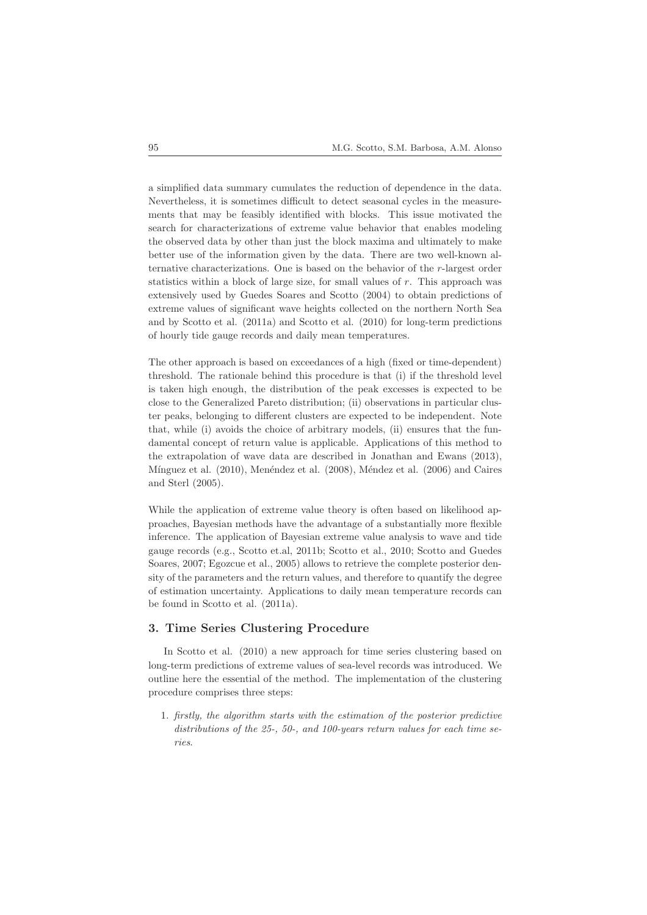a simplified data summary cumulates the reduction of dependence in the data. Nevertheless, it is sometimes difficult to detect seasonal cycles in the measurements that may be feasibly identified with blocks. This issue motivated the search for characterizations of extreme value behavior that enables modeling the observed data by other than just the block maxima and ultimately to make better use of the information given by the data. There are two well-known alternative characterizations. One is based on the behavior of the r-largest order statistics within a block of large size, for small values of  $r$ . This approach was extensively used by Guedes Soares and Scotto (2004) to obtain predictions of extreme values of significant wave heights collected on the northern North Sea and by Scotto et al. (2011a) and Scotto et al. (2010) for long-term predictions of hourly tide gauge records and daily mean temperatures.

The other approach is based on exceedances of a high (fixed or time-dependent) threshold. The rationale behind this procedure is that (i) if the threshold level is taken high enough, the distribution of the peak excesses is expected to be close to the Generalized Pareto distribution; (ii) observations in particular cluster peaks, belonging to different clusters are expected to be independent. Note that, while (i) avoids the choice of arbitrary models, (ii) ensures that the fundamental concept of return value is applicable. Applications of this method to the extrapolation of wave data are described in Jonathan and Ewans (2013), Mínguez et al. (2010), Menéndez et al. (2008), Méndez et al. (2006) and Caires and Sterl (2005).

While the application of extreme value theory is often based on likelihood approaches, Bayesian methods have the advantage of a substantially more flexible inference. The application of Bayesian extreme value analysis to wave and tide gauge records (e.g., Scotto et.al, 2011b; Scotto et al., 2010; Scotto and Guedes Soares, 2007; Egozcue et al., 2005) allows to retrieve the complete posterior density of the parameters and the return values, and therefore to quantify the degree of estimation uncertainty. Applications to daily mean temperature records can be found in Scotto et al. (2011a).

# 3. Time Series Clustering Procedure

In Scotto et al. (2010) a new approach for time series clustering based on long-term predictions of extreme values of sea-level records was introduced. We outline here the essential of the method. The implementation of the clustering procedure comprises three steps:

1. firstly, the algorithm starts with the estimation of the posterior predictive distributions of the 25-, 50-, and 100-years return values for each time series.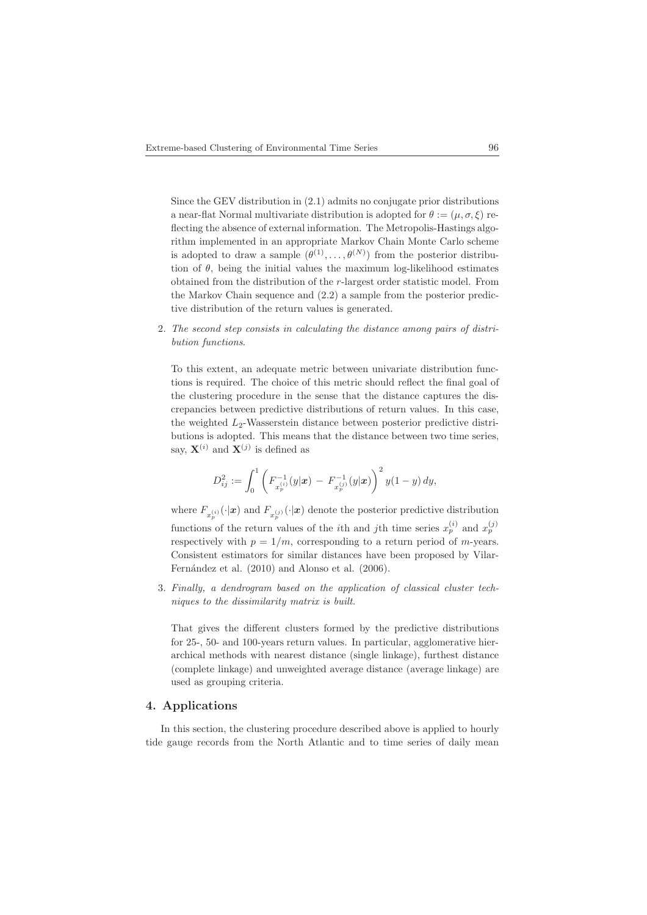Since the GEV distribution in (2.1) admits no conjugate prior distributions a near-flat Normal multivariate distribution is adopted for  $\theta := (\mu, \sigma, \xi)$  reflecting the absence of external information. The Metropolis-Hastings algorithm implemented in an appropriate Markov Chain Monte Carlo scheme is adopted to draw a sample  $(\theta^{(1)}, \ldots, \theta^{(N)})$  from the posterior distribution of  $\theta$ , being the initial values the maximum log-likelihood estimates obtained from the distribution of the r-largest order statistic model. From the Markov Chain sequence and (2.2) a sample from the posterior predictive distribution of the return values is generated.

2. The second step consists in calculating the distance among pairs of distribution functions.

To this extent, an adequate metric between univariate distribution functions is required. The choice of this metric should reflect the final goal of the clustering procedure in the sense that the distance captures the discrepancies between predictive distributions of return values. In this case, the weighted  $L_2$ -Wasserstein distance between posterior predictive distributions is adopted. This means that the distance between two time series, say,  $\mathbf{X}^{(i)}$  and  $\mathbf{X}^{(j)}$  is defined as

$$
D_{ij}^2 := \int_0^1 \left( F_{x_p^{(i)}}^{-1}(y|\boldsymbol{x}) - F_{x_p^{(j)}}^{-1}(y|\boldsymbol{x}) \right)^2 y(1-y) \, dy,
$$

where  $F_{x_p^{(i)}}(\cdot|\mathbf{x})$  and  $F_{x_p^{(j)}}(\cdot|\mathbf{x})$  denote the posterior predictive distribution functions of the return values of the *i*th and *j*th time series  $x_p^{(i)}$  and  $x_p^{(j)}$ respectively with  $p = 1/m$ , corresponding to a return period of *m*-years. Consistent estimators for similar distances have been proposed by Vilar-Fernández et al. (2010) and Alonso et al. (2006).

3. Finally, a dendrogram based on the application of classical cluster techniques to the dissimilarity matrix is built.

That gives the different clusters formed by the predictive distributions for 25-, 50- and 100-years return values. In particular, agglomerative hierarchical methods with nearest distance (single linkage), furthest distance (complete linkage) and unweighted average distance (average linkage) are used as grouping criteria.

# 4. Applications

In this section, the clustering procedure described above is applied to hourly tide gauge records from the North Atlantic and to time series of daily mean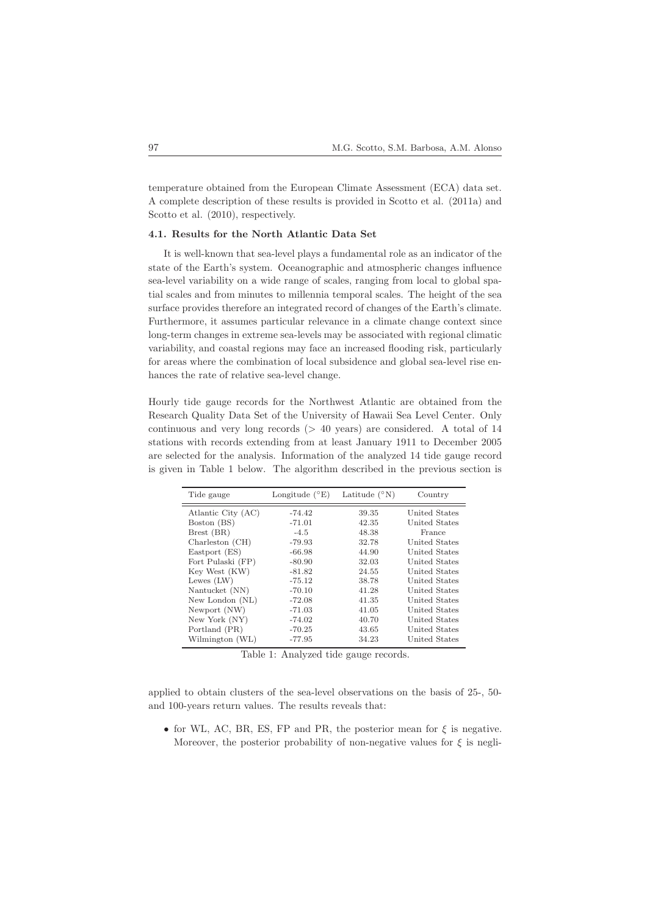temperature obtained from the European Climate Assessment (ECA) data set. A complete description of these results is provided in Scotto et al. (2011a) and Scotto et al.  $(2010)$ , respectively.

### 4.1. Results for the North Atlantic Data Set

It is well-known that sea-level plays a fundamental role as an indicator of the state of the Earth's system. Oceanographic and atmospheric changes influence sea-level variability on a wide range of scales, ranging from local to global spatial scales and from minutes to millennia temporal scales. The height of the sea surface provides therefore an integrated record of changes of the Earth's climate. Furthermore, it assumes particular relevance in a climate change context since long-term changes in extreme sea-levels may be associated with regional climatic variability, and coastal regions may face an increased flooding risk, particularly for areas where the combination of local subsidence and global sea-level rise enhances the rate of relative sea-level change.

Hourly tide gauge records for the Northwest Atlantic are obtained from the Research Quality Data Set of the University of Hawaii Sea Level Center. Only continuous and very long records  $(> 40 \text{ years})$  are considered. A total of 14 stations with records extending from at least January 1911 to December 2005 are selected for the analysis. Information of the analyzed 14 tide gauge record is given in Table 1 below. The algorithm described in the previous section is

| Tide gauge         | Longitude $(^{\circ}E)$ | Latitude $(^{\circ}N)$ | Country       |
|--------------------|-------------------------|------------------------|---------------|
| Atlantic City (AC) | $-74.42$                | 39.35                  | United States |
| Boston (BS)        | $-71.01$                | 42.35                  | United States |
| Brest (BR)         | $-4.5$                  | 48.38                  | France        |
| Charleston (CH)    | $-79.93$                | 32.78                  | United States |
| Eastport (ES)      | $-66.98$                | 44.90                  | United States |
| Fort Pulaski (FP)  | $-80.90$                | 32.03                  | United States |
| Key West (KW)      | $-81.82$                | 24.55                  | United States |
| Lewes $(LW)$       | $-75.12$                | 38.78                  | United States |
| Nantucket (NN)     | $-70.10$                | 41.28                  | United States |
| New London (NL)    | $-72.08$                | 41.35                  | United States |
| Newport (NW)       | $-71.03$                | 41.05                  | United States |
| New York (NY)      | $-74.02$                | 40.70                  | United States |
| Portland (PR)      | $-70.25$                | 43.65                  | United States |
| Wilmington (WL)    | $-77.95$                | 34.23                  | United States |

Table 1: Analyzed tide gauge records.

applied to obtain clusters of the sea-level observations on the basis of 25-, 50 and 100-years return values. The results reveals that:

• for WL, AC, BR, ES, FP and PR, the posterior mean for  $\xi$  is negative. Moreover, the posterior probability of non-negative values for  $\xi$  is negli-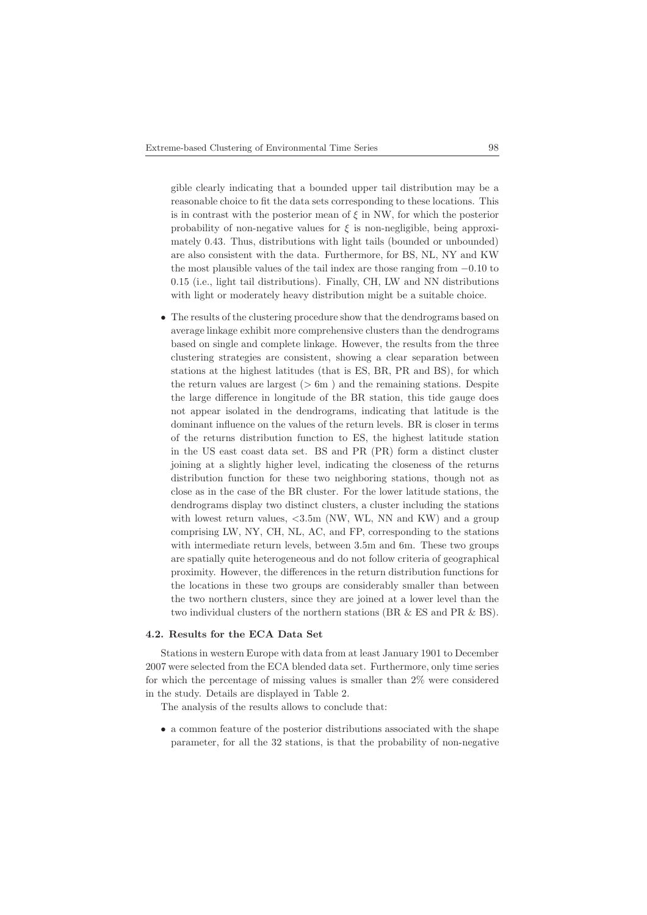gible clearly indicating that a bounded upper tail distribution may be a reasonable choice to fit the data sets corresponding to these locations. This is in contrast with the posterior mean of  $\xi$  in NW, for which the posterior probability of non-negative values for  $\xi$  is non-negligible, being approximately 0.43. Thus, distributions with light tails (bounded or unbounded) are also consistent with the data. Furthermore, for BS, NL, NY and KW the most plausible values of the tail index are those ranging from −0.10 to 0.15 (i.e., light tail distributions). Finally, CH, LW and NN distributions with light or moderately heavy distribution might be a suitable choice.

• The results of the clustering procedure show that the dendrograms based on average linkage exhibit more comprehensive clusters than the dendrograms based on single and complete linkage. However, the results from the three clustering strategies are consistent, showing a clear separation between stations at the highest latitudes (that is ES, BR, PR and BS), for which the return values are largest  $(6 \text{ m})$  and the remaining stations. Despite the large difference in longitude of the BR station, this tide gauge does not appear isolated in the dendrograms, indicating that latitude is the dominant influence on the values of the return levels. BR is closer in terms of the returns distribution function to ES, the highest latitude station in the US east coast data set. BS and PR (PR) form a distinct cluster joining at a slightly higher level, indicating the closeness of the returns distribution function for these two neighboring stations, though not as close as in the case of the BR cluster. For the lower latitude stations, the dendrograms display two distinct clusters, a cluster including the stations with lowest return values,  $\langle 3.5m$  (NW, WL, NN and KW) and a group comprising LW, NY, CH, NL, AC, and FP, corresponding to the stations with intermediate return levels, between 3.5m and 6m. These two groups are spatially quite heterogeneous and do not follow criteria of geographical proximity. However, the differences in the return distribution functions for the locations in these two groups are considerably smaller than between the two northern clusters, since they are joined at a lower level than the two individual clusters of the northern stations (BR & ES and PR & BS).

### 4.2. Results for the ECA Data Set

Stations in western Europe with data from at least January 1901 to December 2007 were selected from the ECA blended data set. Furthermore, only time series for which the percentage of missing values is smaller than 2% were considered in the study. Details are displayed in Table 2.

The analysis of the results allows to conclude that:

• a common feature of the posterior distributions associated with the shape parameter, for all the 32 stations, is that the probability of non-negative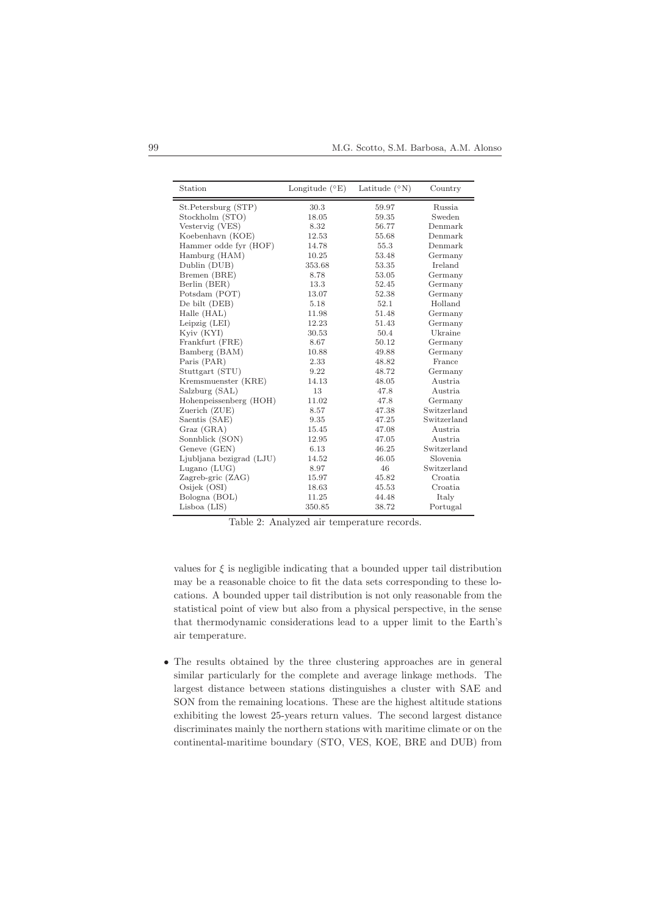| Station                  | Longitude $(^{\circ}E)$ | Latitude $(^{\circ}N)$ | Country     |
|--------------------------|-------------------------|------------------------|-------------|
| St.Petersburg (STP)      | 30.3                    | 59.97                  | Russia      |
| Stockholm (STO)          | 18.05                   | 59.35                  | Sweden      |
| Vestervig (VES)          | 8.32                    | 56.77                  | Denmark     |
| Koebenhavn (KOE)         | 12.53                   | 55.68                  | Denmark     |
| Hammer odde fyr (HOF)    | 14.78                   | 55.3                   | Denmark     |
| Hamburg (HAM)            | 10.25                   | 53.48                  | Germany     |
| Dublin (DUB)             | 353.68                  | 53.35                  | Ireland     |
| Bremen (BRE)             | 8.78                    | 53.05                  | Germany     |
| Berlin (BER)             | 13.3                    | 52.45                  | Germany     |
| Potsdam (POT)            | 13.07                   | 52.38                  | Germany     |
| De bilt (DEB)            | 5.18                    | 52.1                   | Holland     |
| Halle (HAL)              | 11.98                   | 51.48                  | Germany     |
| Leipzig $(LEI)$          | 12.23                   | 51.43                  | Germany     |
| Kyiv (KYI)               | 30.53                   | 50.4                   | Ukraine     |
| Frankfurt (FRE)          | 8.67                    | 50.12                  | Germany     |
| Bamberg (BAM)            | 10.88                   | 49.88                  | Germany     |
| Paris (PAR)              | 2.33                    | 48.82                  | France      |
| Stuttgart (STU)          | 9.22                    | 48.72                  | Germany     |
| Kremsmuenster (KRE)      | 14.13                   | 48.05                  | Austria     |
| Salzburg (SAL)           | 13                      | 47.8                   | Austria     |
| Hohenpeissenberg (HOH)   | 11.02                   | 47.8                   | Germany     |
| Zuerich (ZUE)            | 8.57                    | 47.38                  | Switzerland |
| Saentis (SAE)            | 9.35                    | 47.25                  | Switzerland |
| Graz (GRA)               | 15.45                   | 47.08                  | Austria     |
| Sonnblick (SON)          | 12.95                   | 47.05                  | Austria     |
| Geneve (GEN)             | 6.13                    | 46.25                  | Switzerland |
| Ljubljana bezigrad (LJU) | 14.52                   | 46.05                  | Slovenia.   |
| Lugano $(LUG)$           | 8.97                    | 46                     | Switzerland |
| Zagreb-gric (ZAG)        | 15.97                   | 45.82                  | Croatia     |
| Osijek (OSI)             | 18.63                   | 45.53                  | Croatia     |
| Bologna (BOL)            | 11.25                   | 44.48                  | Italy       |
| $Lisboa$ (LIS)           | 350.85                  | 38.72                  | Portugal    |

Table 2: Analyzed air temperature records.

values for  $\xi$  is negligible indicating that a bounded upper tail distribution may be a reasonable choice to fit the data sets corresponding to these locations. A bounded upper tail distribution is not only reasonable from the statistical point of view but also from a physical perspective, in the sense that thermodynamic considerations lead to a upper limit to the Earth's air temperature.

• The results obtained by the three clustering approaches are in general similar particularly for the complete and average linkage methods. The largest distance between stations distinguishes a cluster with SAE and SON from the remaining locations. These are the highest altitude stations exhibiting the lowest 25-years return values. The second largest distance discriminates mainly the northern stations with maritime climate or on the continental-maritime boundary (STO, VES, KOE, BRE and DUB) from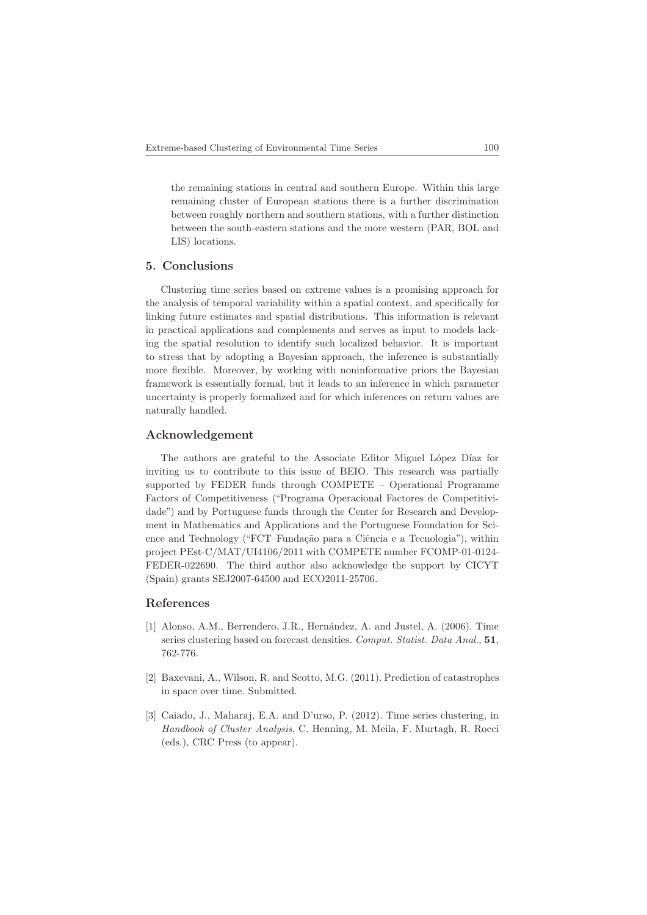the remaining stations in central and southern Europe. Within this large remaining cluster of European stations there is a further discrimination between roughly northern and southern stations, with a further distinction between the south-eastern stations and the more western (PAR, BOL and LIS) locations.

## 5. Conclusions

Clustering time series based on extreme values is a promising approach for the analysis of temporal variability within a spatial context, and specifically for linking future estimates and spatial distributions. This information is relevant in practical applications and complements and serves as input to models lacking the spatial resolution to identify such localized behavior. It is important to stress that by adopting a Bayesian approach, the inference is substantially more flexible. Moreover, by working with noninformative priors the Bayesian framework is essentially formal, but it leads to an inference in which parameter uncertainty is properly formalized and for which inferences on return values are naturally handled.

## Acknowledgement

The authors are grateful to the Associate Editor Miguel López Díaz for inviting us to contribute to this issue of BEIO. This research was partially supported by FEDER funds through COMPETE – Operational Programme Factors of Competitiveness ("Programa Operacional Factores de Competitividade") and by Portuguese funds through the Center for Research and Development in Mathematics and Applications and the Portuguese Foundation for Science and Technology ("FCT–Fundação para a Ciência e a Tecnologia"), within project PEst-C/MAT/UI4106/2011 with COMPETE number FCOMP-01-0124- FEDER-022690. The third author also acknowledge the support by CICYT (Spain) grants SEJ2007-64500 and ECO2011-25706.

#### References

- [1] Alonso, A.M., Berrendero, J.R., Hernández, A. and Justel, A. (2006). Time series clustering based on forecast densities. Comput. Statist. Data Anal., 51, 762-776.
- [2] Baxevani, A., Wilson, R. and Scotto, M.G. (2011). Prediction of catastrophes in space over time. Submitted.
- [3] Caiado, J., Maharaj, E.A. and D'urso, P. (2012). Time series clustering, in Handbook of Cluster Analysis, C. Henning, M. Meila, F. Murtagh, R. Rocci (eds.), CRC Press (to appear).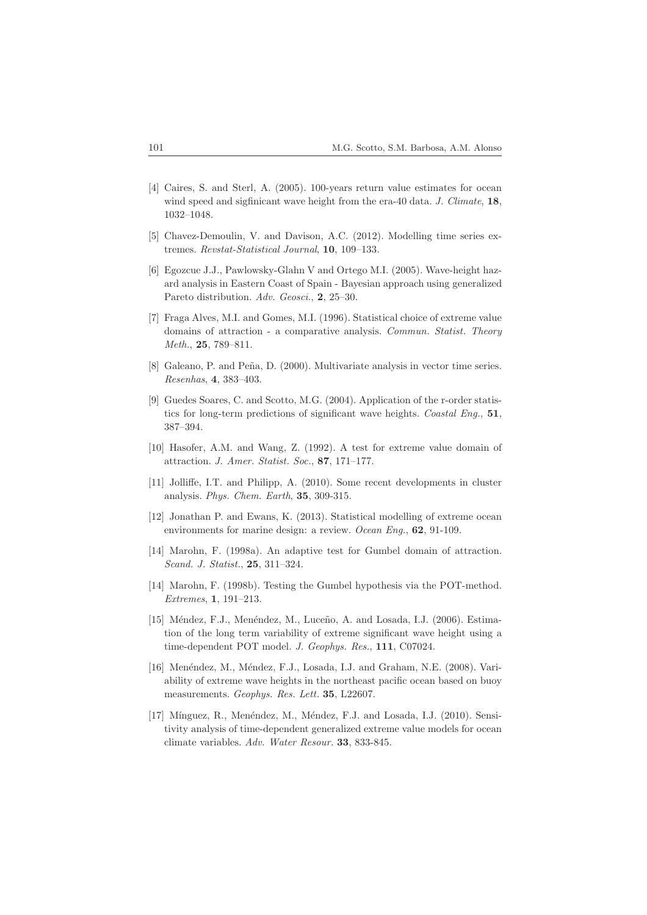- [4] Caires, S. and Sterl, A. (2005). 100-years return value estimates for ocean wind speed and sigfinicant wave height from the era-40 data. J. Climate, 18, 1032–1048.
- [5] Chavez-Demoulin, V. and Davison, A.C. (2012). Modelling time series extremes. Revstat-Statistical Journal, 10, 109–133.
- [6] Egozcue J.J., Pawlowsky-Glahn V and Ortego M.I. (2005). Wave-height hazard analysis in Eastern Coast of Spain - Bayesian approach using generalized Pareto distribution. Adv. Geosci., 2, 25-30.
- [7] Fraga Alves, M.I. and Gomes, M.I. (1996). Statistical choice of extreme value domains of attraction - a comparative analysis. Commun. Statist. Theory Meth., 25, 789–811.
- [8] Galeano, P. and Peña, D. (2000). Multivariate analysis in vector time series. Resenhas, 4, 383–403.
- [9] Guedes Soares, C. and Scotto, M.G. (2004). Application of the r-order statistics for long-term predictions of significant wave heights. Coastal Eng., 51, 387–394.
- [10] Hasofer, A.M. and Wang, Z. (1992). A test for extreme value domain of attraction. J. Amer. Statist. Soc., 87, 171–177.
- [11] Jolliffe, I.T. and Philipp, A. (2010). Some recent developments in cluster analysis. Phys. Chem. Earth, 35, 309-315.
- [12] Jonathan P. and Ewans, K. (2013). Statistical modelling of extreme ocean environments for marine design: a review. Ocean Eng., **62**, 91-109.
- [14] Marohn, F. (1998a). An adaptive test for Gumbel domain of attraction. Scand. J. Statist., 25, 311–324.
- [14] Marohn, F. (1998b). Testing the Gumbel hypothesis via the POT-method. Extremes, 1, 191–213.
- [15] Méndez, F.J., Menéndez, M., Luceño, A. and Losada, I.J. (2006). Estimation of the long term variability of extreme significant wave height using a time-dependent POT model. J. Geophys. Res., 111, C07024.
- [16] Menéndez, M., Méndez, F.J., Losada, I.J. and Graham, N.E. (2008). Variability of extreme wave heights in the northeast pacific ocean based on buoy measurements. Geophys. Res. Lett. 35, L22607.
- [17] Mínguez, R., Menéndez, M., Méndez, F.J. and Losada, I.J. (2010). Sensitivity analysis of time-dependent generalized extreme value models for ocean climate variables. Adv. Water Resour. 33, 833-845.